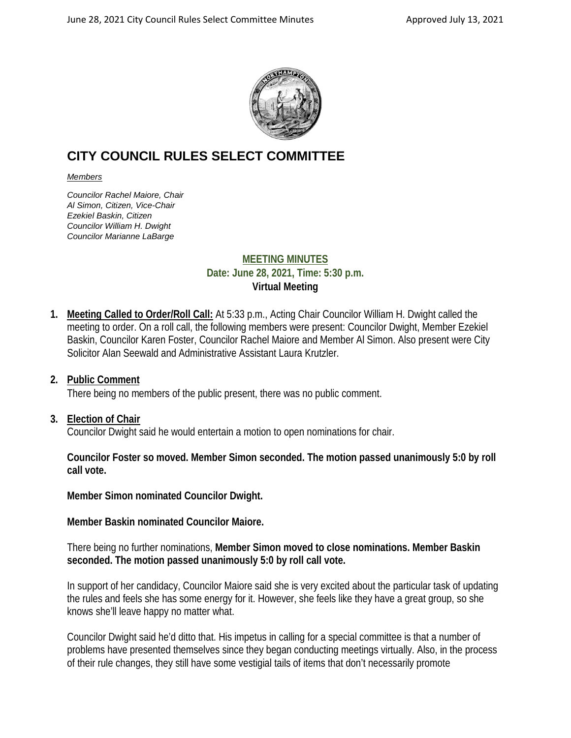

# **CITY COUNCIL RULES SELECT COMMITTEE**

#### *Members*

*Councilor Rachel Maiore, Chair Al Simon, Citizen, Vice-Chair Ezekiel Baskin, Citizen Councilor William H. Dwight Councilor Marianne LaBarge*

# **MEETING MINUTES Date: June 28, 2021, Time: 5:30 p.m. Virtual Meeting**

**1. Meeting Called to Order/Roll Call:** At 5:33 p.m., Acting Chair Councilor William H. Dwight called the meeting to order. On a roll call, the following members were present: Councilor Dwight, Member Ezekiel Baskin, Councilor Karen Foster, Councilor Rachel Maiore and Member Al Simon. Also present were City Solicitor Alan Seewald and Administrative Assistant Laura Krutzler.

# **2. Public Comment**

There being no members of the public present, there was no public comment.

#### **3. Election of Chair**

Councilor Dwight said he would entertain a motion to open nominations for chair.

**Councilor Foster so moved. Member Simon seconded. The motion passed unanimously 5:0 by roll call vote.**

**Member Simon nominated Councilor Dwight.** 

**Member Baskin nominated Councilor Maiore.**

There being no further nominations, **Member Simon moved to close nominations. Member Baskin seconded. The motion passed unanimously 5:0 by roll call vote.**

In support of her candidacy, Councilor Maiore said she is very excited about the particular task of updating the rules and feels she has some energy for it. However, she feels like they have a great group, so she knows she'll leave happy no matter what.

Councilor Dwight said he'd ditto that. His impetus in calling for a special committee is that a number of problems have presented themselves since they began conducting meetings virtually. Also, in the process of their rule changes, they still have some vestigial tails of items that don't necessarily promote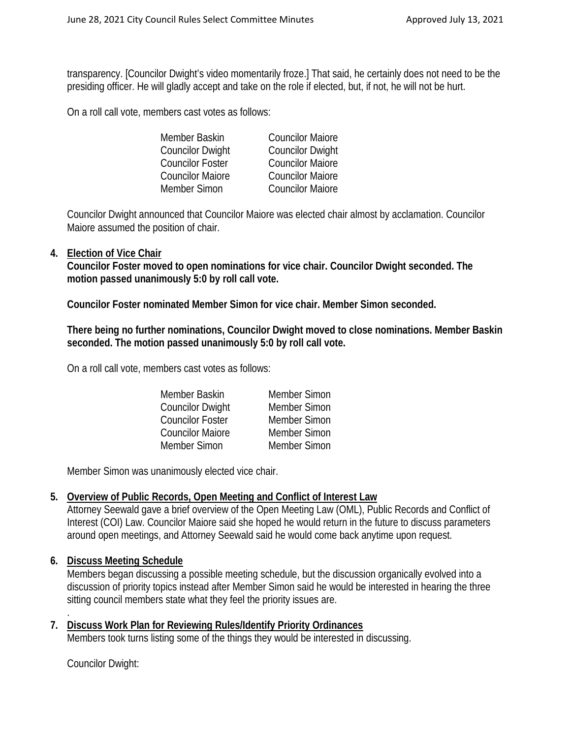transparency. [Councilor Dwight's video momentarily froze.] That said, he certainly does not need to be the presiding officer. He will gladly accept and take on the role if elected, but, if not, he will not be hurt.

On a roll call vote, members cast votes as follows:

| Member Baskin           | <b>Councilor Maiore</b> |
|-------------------------|-------------------------|
| <b>Councilor Dwight</b> | <b>Councilor Dwight</b> |
| <b>Councilor Foster</b> | <b>Councilor Maiore</b> |
| <b>Councilor Maiore</b> | <b>Councilor Maiore</b> |
| Member Simon            | <b>Councilor Maiore</b> |

Councilor Dwight announced that Councilor Maiore was elected chair almost by acclamation. Councilor Maiore assumed the position of chair.

#### **4. Election of Vice Chair**

**Councilor Foster moved to open nominations for vice chair. Councilor Dwight seconded. The motion passed unanimously 5:0 by roll call vote.**

**Councilor Foster nominated Member Simon for vice chair. Member Simon seconded.**

**There being no further nominations, Councilor Dwight moved to close nominations. Member Baskin seconded. The motion passed unanimously 5:0 by roll call vote.**

On a roll call vote, members cast votes as follows:

| Member Baskin           | Member Simon |
|-------------------------|--------------|
| <b>Councilor Dwight</b> | Member Simon |
| <b>Councilor Foster</b> | Member Simon |
| <b>Councilor Maiore</b> | Member Simon |
| Member Simon            | Member Simon |
|                         |              |

Member Simon was unanimously elected vice chair.

# **5. Overview of Public Records, Open Meeting and Conflict of Interest Law**

Attorney Seewald gave a brief overview of the Open Meeting Law (OML), Public Records and Conflict of Interest (COI) Law. Councilor Maiore said she hoped he would return in the future to discuss parameters around open meetings, and Attorney Seewald said he would come back anytime upon request.

# **6. Discuss Meeting Schedule**

Members began discussing a possible meeting schedule, but the discussion organically evolved into a discussion of priority topics instead after Member Simon said he would be interested in hearing the three sitting council members state what they feel the priority issues are.

**7. Discuss Work Plan for Reviewing Rules/Identify Priority Ordinances** Members took turns listing some of the things they would be interested in discussing.

Councilor Dwight:

.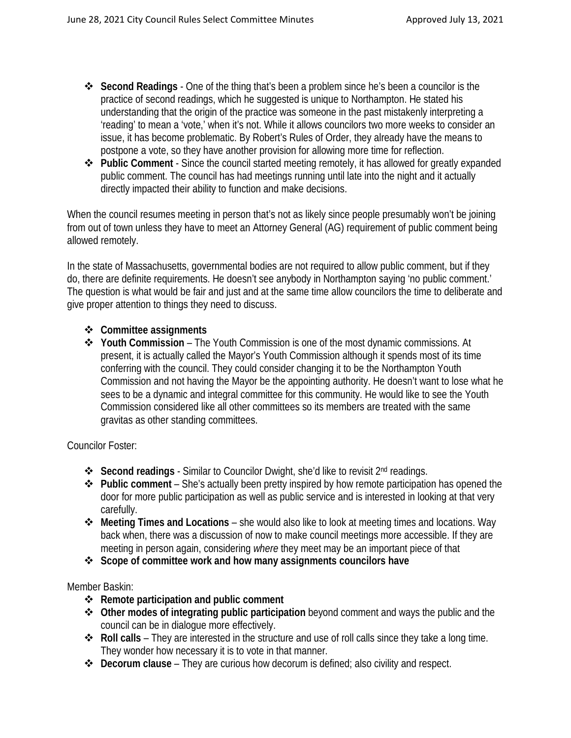- **Second Readings** One of the thing that's been a problem since he's been a councilor is the practice of second readings, which he suggested is unique to Northampton. He stated his understanding that the origin of the practice was someone in the past mistakenly interpreting a 'reading' to mean a 'vote,' when it's not. While it allows councilors two more weeks to consider an issue, it has become problematic. By Robert's Rules of Order, they already have the means to postpone a vote, so they have another provision for allowing more time for reflection.
- **Public Comment** Since the council started meeting remotely, it has allowed for greatly expanded public comment. The council has had meetings running until late into the night and it actually directly impacted their ability to function and make decisions.

When the council resumes meeting in person that's not as likely since people presumably won't be joining from out of town unless they have to meet an Attorney General (AG) requirement of public comment being allowed remotely.

In the state of Massachusetts, governmental bodies are not required to allow public comment, but if they do, there are definite requirements. He doesn't see anybody in Northampton saying 'no public comment.' The question is what would be fair and just and at the same time allow councilors the time to deliberate and give proper attention to things they need to discuss.

- **Committee assignments**
- **Youth Commission** The Youth Commission is one of the most dynamic commissions. At present, it is actually called the Mayor's Youth Commission although it spends most of its time conferring with the council. They could consider changing it to be the Northampton Youth Commission and not having the Mayor be the appointing authority. He doesn't want to lose what he sees to be a dynamic and integral committee for this community. He would like to see the Youth Commission considered like all other committees so its members are treated with the same gravitas as other standing committees.

Councilor Foster:

- **Second readings** Similar to Councilor Dwight, she'd like to revisit 2<sup>nd</sup> readings.
- **Public comment** She's actually been pretty inspired by how remote participation has opened the door for more public participation as well as public service and is interested in looking at that very carefully.
- **Meeting Times and Locations** she would also like to look at meeting times and locations. Way back when, there was a discussion of now to make council meetings more accessible. If they are meeting in person again, considering *where* they meet may be an important piece of that
- **Scope of committee work and how many assignments councilors have**

Member Baskin:

- **Remote participation and public comment**
- **Other modes of integrating public participation** beyond comment and ways the public and the council can be in dialogue more effectively.
- **Roll calls** They are interested in the structure and use of roll calls since they take a long time. They wonder how necessary it is to vote in that manner.
- **Decorum clause** They are curious how decorum is defined; also civility and respect.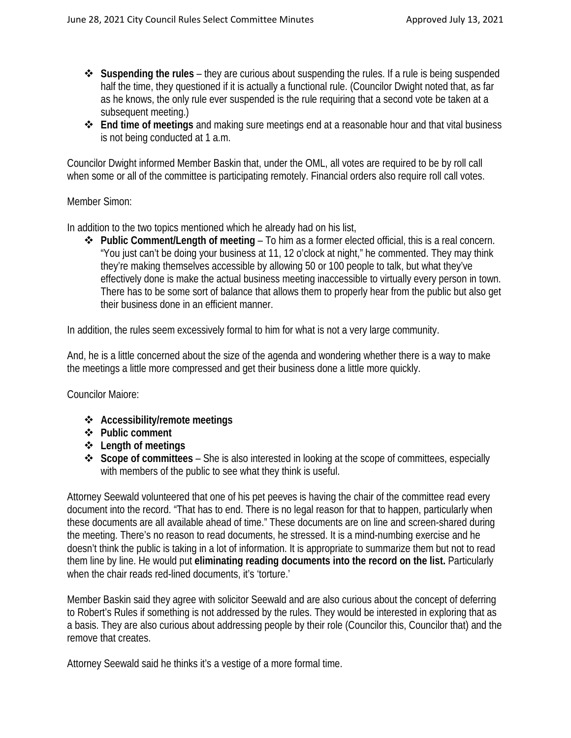- **Suspending the rules** they are curious about suspending the rules. If a rule is being suspended half the time, they questioned if it is actually a functional rule. (Councilor Dwight noted that, as far as he knows, the only rule ever suspended is the rule requiring that a second vote be taken at a subsequent meeting.)
- **End time of meetings** and making sure meetings end at a reasonable hour and that vital business is not being conducted at 1 a.m.

Councilor Dwight informed Member Baskin that, under the OML, all votes are required to be by roll call when some or all of the committee is participating remotely. Financial orders also require roll call votes.

#### Member Simon:

In addition to the two topics mentioned which he already had on his list,

 **Public Comment/Length of meeting** – To him as a former elected official, this is a real concern. "You just can't be doing your business at 11, 12 o'clock at night," he commented. They may think they're making themselves accessible by allowing 50 or 100 people to talk, but what they've effectively done is make the actual business meeting inaccessible to virtually every person in town. There has to be some sort of balance that allows them to properly hear from the public but also get their business done in an efficient manner.

In addition, the rules seem excessively formal to him for what is not a very large community.

And, he is a little concerned about the size of the agenda and wondering whether there is a way to make the meetings a little more compressed and get their business done a little more quickly.

Councilor Maiore:

- **Accessibility/remote meetings**
- **Public comment**
- **Length of meetings**
- **Scope of committees** She is also interested in looking at the scope of committees, especially with members of the public to see what they think is useful.

Attorney Seewald volunteered that one of his pet peeves is having the chair of the committee read every document into the record. "That has to end. There is no legal reason for that to happen, particularly when these documents are all available ahead of time." These documents are on line and screen-shared during the meeting. There's no reason to read documents, he stressed. It is a mind-numbing exercise and he doesn't think the public is taking in a lot of information. It is appropriate to summarize them but not to read them line by line. He would put **eliminating reading documents into the record on the list.** Particularly when the chair reads red-lined documents, it's 'torture.'

Member Baskin said they agree with solicitor Seewald and are also curious about the concept of deferring to Robert's Rules if something is not addressed by the rules. They would be interested in exploring that as a basis. They are also curious about addressing people by their role (Councilor this, Councilor that) and the remove that creates.

Attorney Seewald said he thinks it's a vestige of a more formal time.